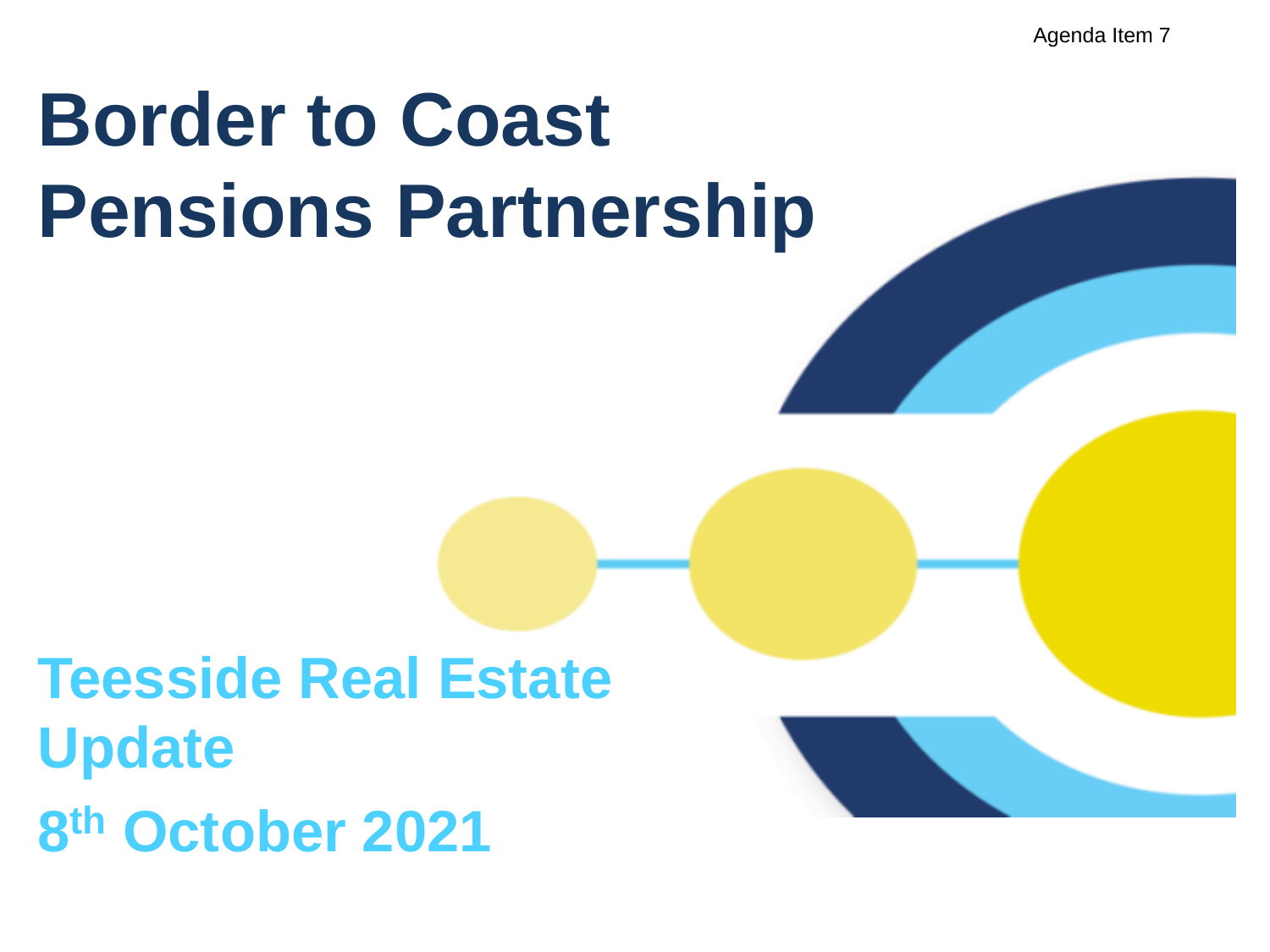Agenda Item 7

# **Border to Coast Pensions Partnership**

# **Teesside Real Estate Update 8 th October 2021**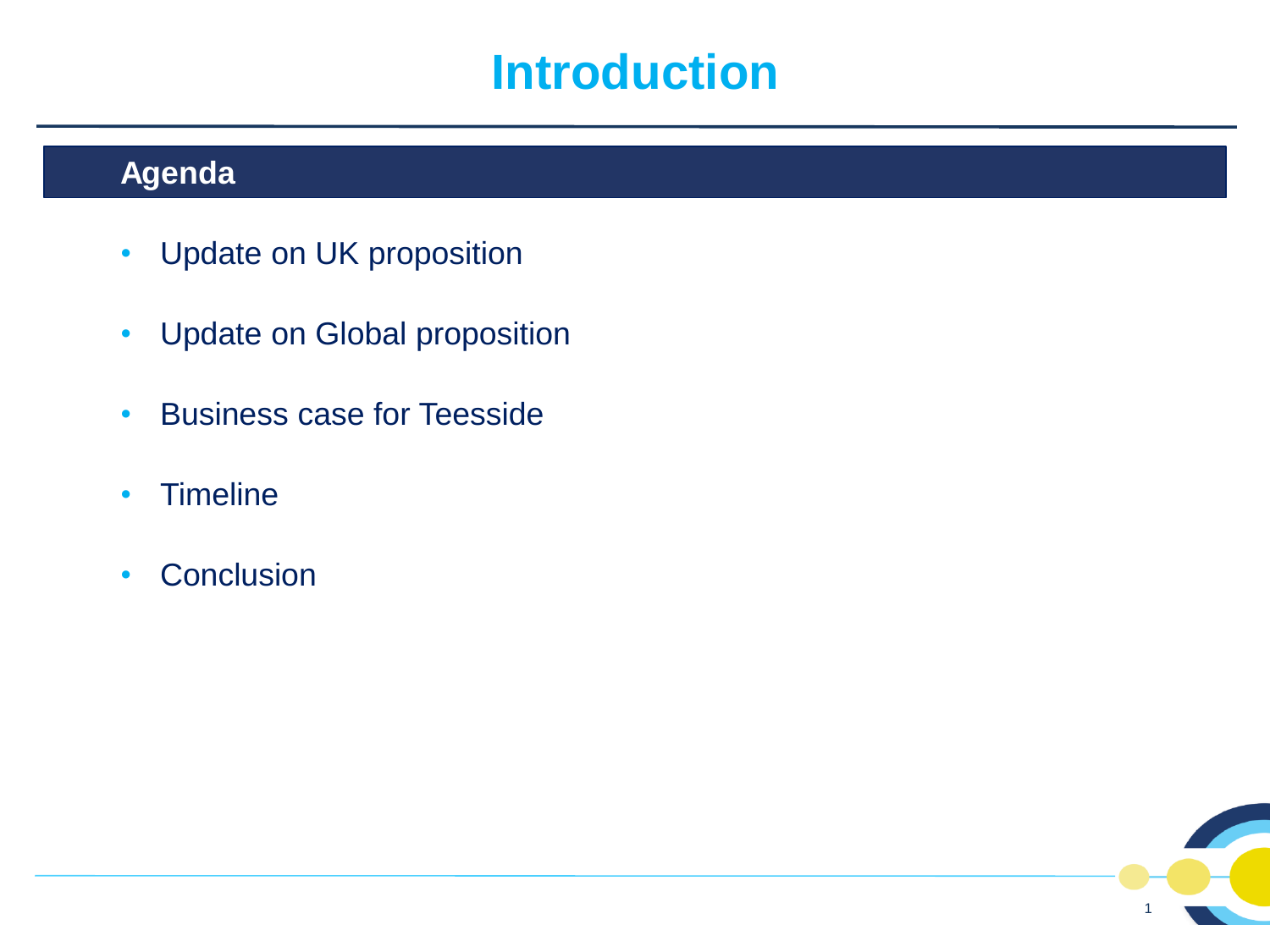### **Introduction**

#### **Agenda**

- Update on UK proposition
- Update on Global proposition
- Business case for Teesside
- Timeline
- Conclusion

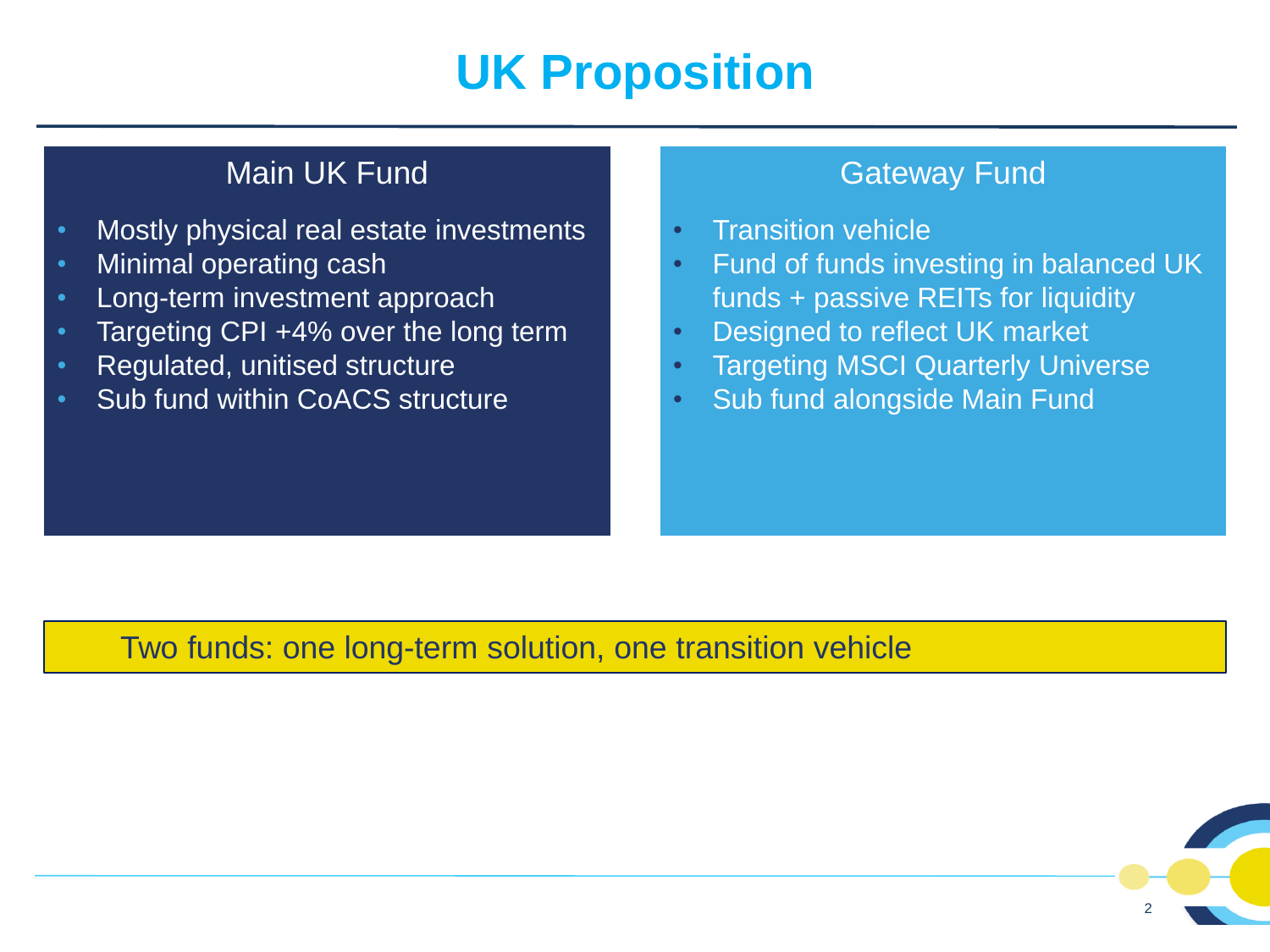# **UK Proposition**

#### Main UK Fund

- Mostly physical real estate investments
- Minimal operating cash
- Long-term investment approach
- Targeting CPI +4% over the long term
- Regulated, unitised structure
- Sub fund within CoACS structure

#### Gateway Fund

- Transition vehicle
- Fund of funds investing in balanced UK funds + passive REITs for liquidity
- Designed to reflect UK market
- **Targeting MSCI Quarterly Universe**
- Sub fund alongside Main Fund

#### Two funds: one long-term solution, one transition vehicle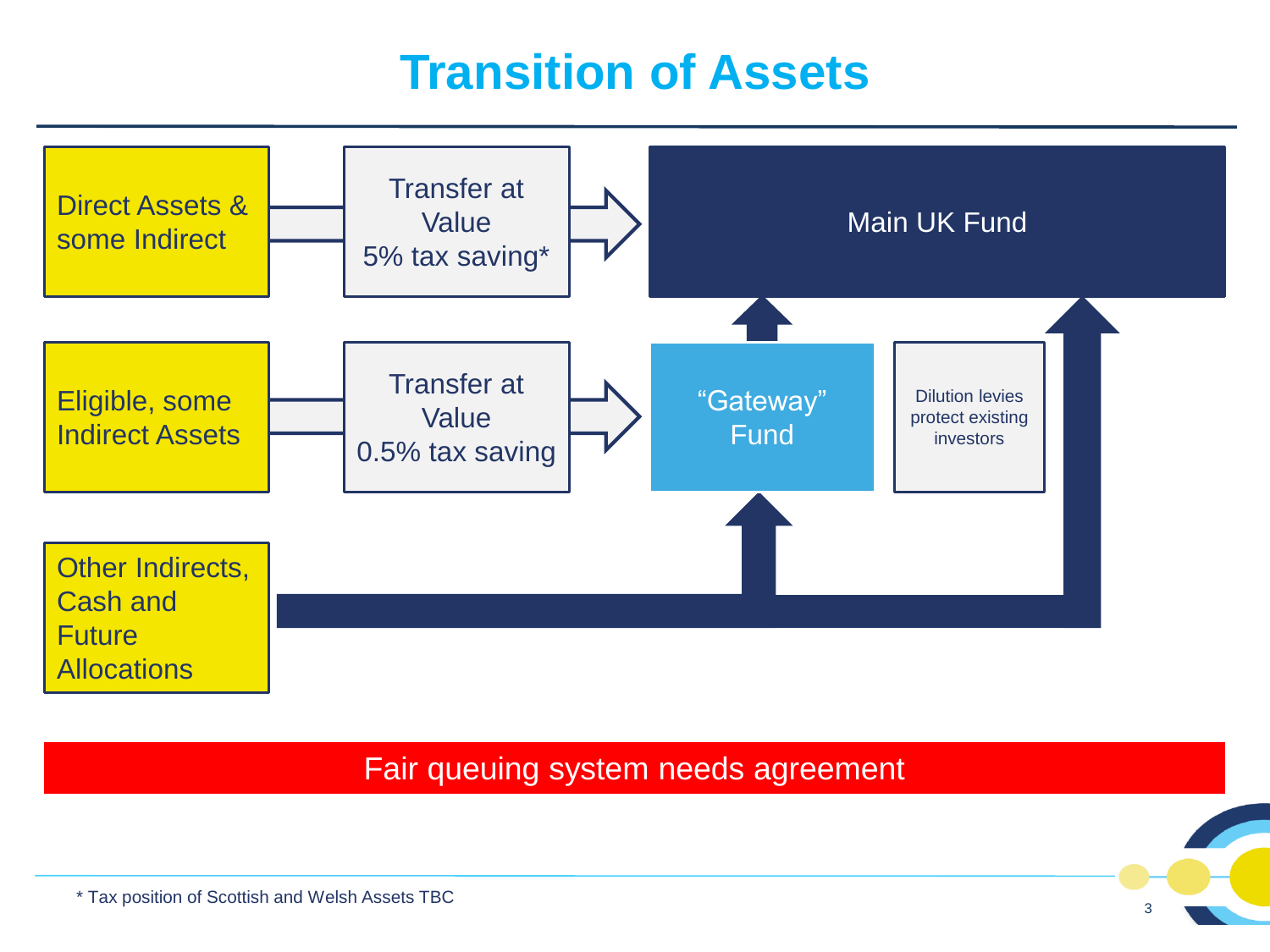### **Transition of Assets**



Fair queuing system needs agreement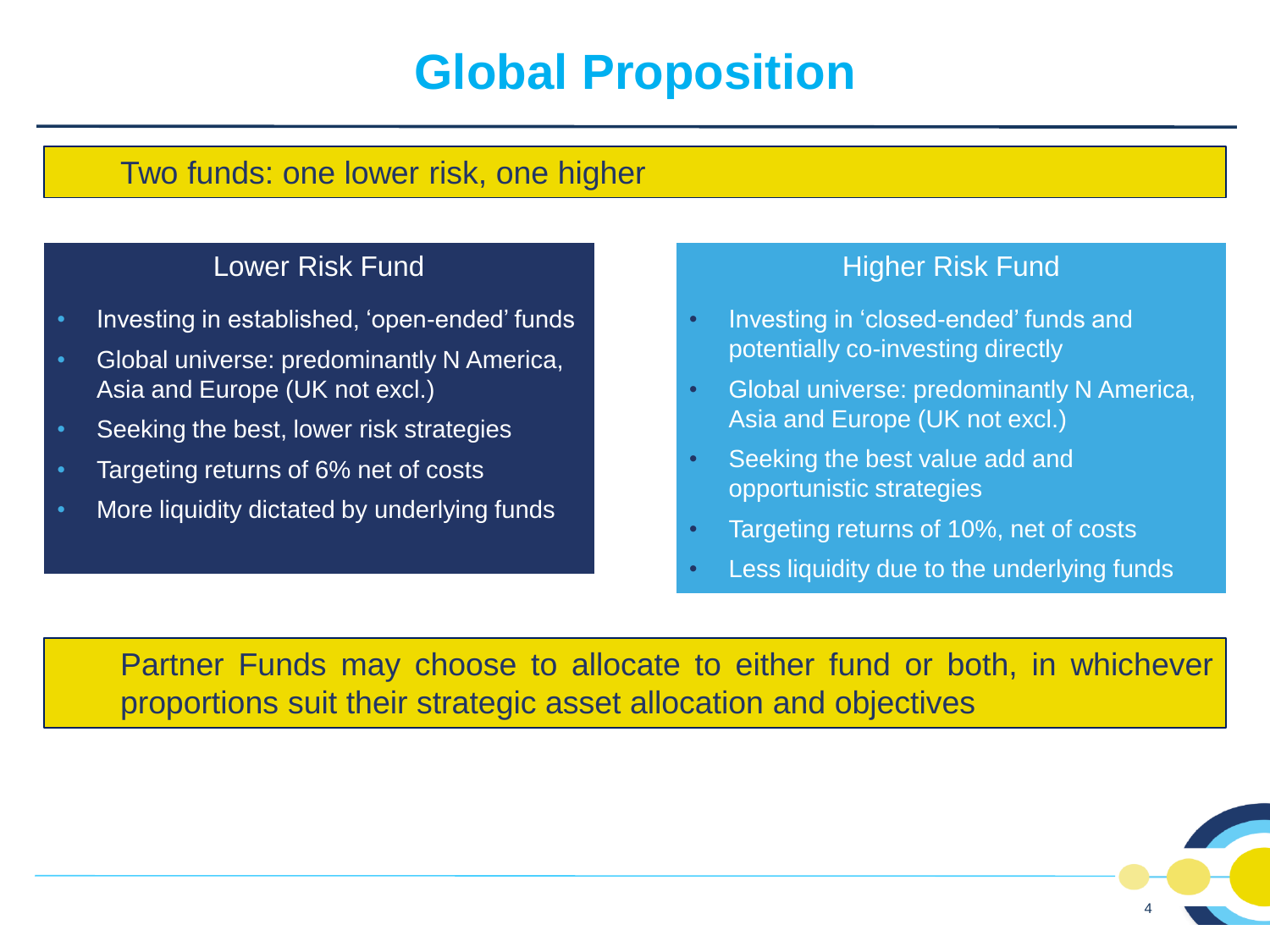# **Global Proposition**

#### Two funds: one lower risk, one higher

#### Lower Risk Fund

- Investing in established, 'open-ended' funds
- Global universe: predominantly N America, Asia and Europe (UK not excl.)
- Seeking the best, lower risk strategies
- Targeting returns of 6% net of costs
- More liquidity dictated by underlying funds

#### Higher Risk Fund

- Investing in 'closed-ended' funds and potentially co-investing directly
- Global universe: predominantly N America, Asia and Europe (UK not excl.)
- Seeking the best value add and opportunistic strategies
- Targeting returns of 10%, net of costs
- Less liquidity due to the underlying funds

Partner Funds may choose to allocate to either fund or both, in whichever proportions suit their strategic asset allocation and objectives

4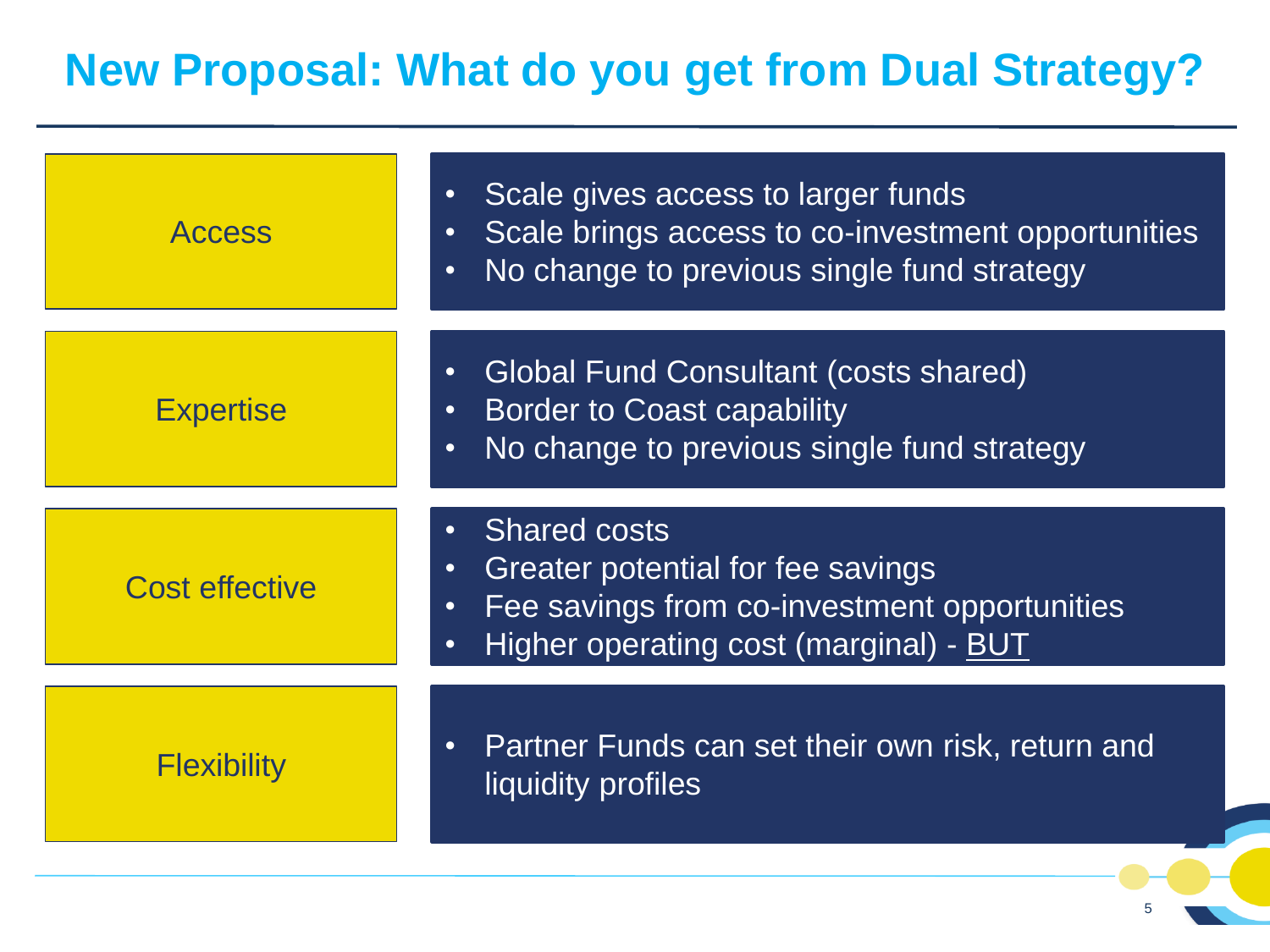#### **New Proposal: What do you get from Dual Strategy?**

| <b>Access</b>         | Scale gives access to larger funds<br>$\bullet$<br>Scale brings access to co-investment opportunities<br>$\bullet$<br>No change to previous single fund strategy<br>$\bullet$             |
|-----------------------|-------------------------------------------------------------------------------------------------------------------------------------------------------------------------------------------|
| <b>Expertise</b>      | <b>Global Fund Consultant (costs shared)</b><br>$\bullet$<br><b>Border to Coast capability</b><br>$\bullet$<br>No change to previous single fund strategy<br>$\bullet$                    |
| <b>Cost effective</b> | <b>Shared costs</b><br>Greater potential for fee savings<br>$\bullet$<br>Fee savings from co-investment opportunities<br>$\bullet$<br>Higher operating cost (marginal) - BUT<br>$\bullet$ |
| <b>Flexibility</b>    | Partner Funds can set their own risk, return and<br>$\bullet$<br>liquidity profiles                                                                                                       |

5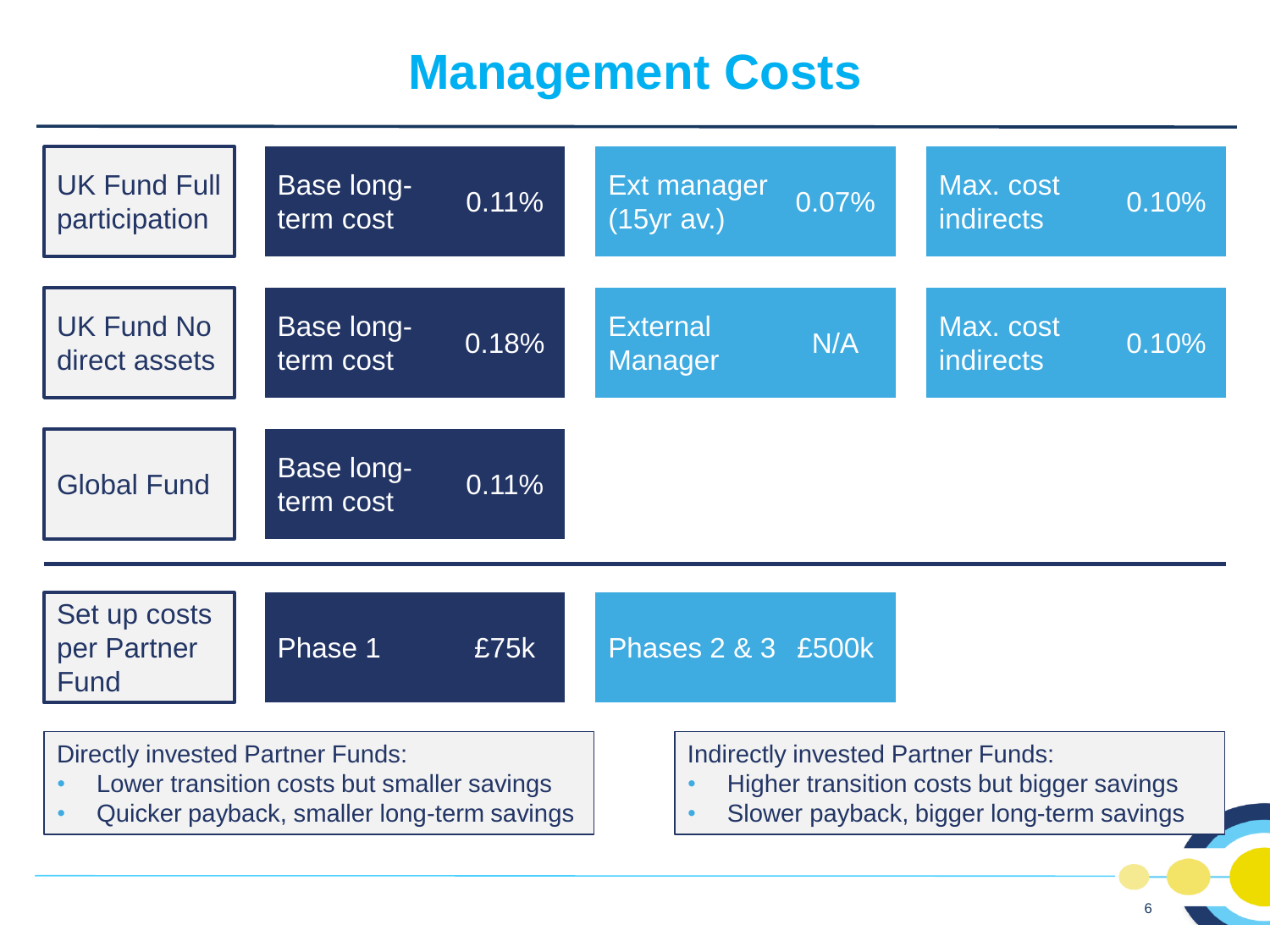# **Management Costs**

![](_page_6_Figure_1.jpeg)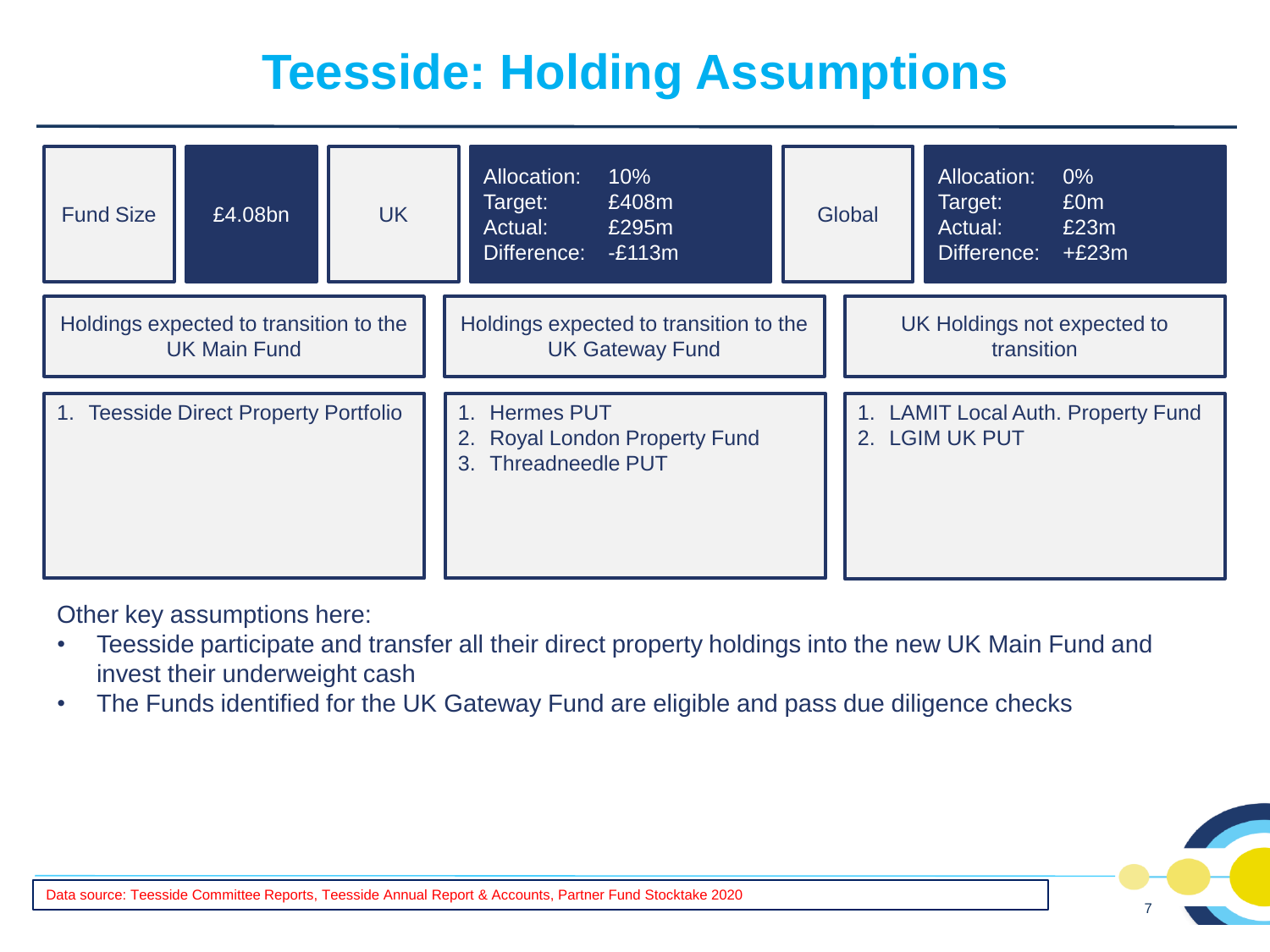# **Teesside: Holding Assumptions**

| <b>Fund Size</b>                                              | £4.08bn | <b>UK</b> |                                                                       | Allocation:<br>Target:<br>Actual:<br>Difference: | 10%<br>£408m<br>£295m<br>$-E113m$ |                                                      | Global | Allocation:<br>Target:<br>Actual:<br>Difference: | $0\%$<br>£0m<br>£23m<br>$+£23m$ |
|---------------------------------------------------------------|---------|-----------|-----------------------------------------------------------------------|--------------------------------------------------|-----------------------------------|------------------------------------------------------|--------|--------------------------------------------------|---------------------------------|
| Holdings expected to transition to the<br><b>UK Main Fund</b> |         |           | Holdings expected to transition to the<br><b>UK Gateway Fund</b>      |                                                  |                                   | UK Holdings not expected to<br>transition            |        |                                                  |                                 |
| 1. Teesside Direct Property Portfolio                         |         |           | 1. Hermes PUT<br>2. Royal London Property Fund<br>3. Threadneedle PUT |                                                  |                                   | 1. LAMIT Local Auth. Property Fund<br>2. LGIM UK PUT |        |                                                  |                                 |

Other key assumptions here:

- Teesside participate and transfer all their direct property holdings into the new UK Main Fund and invest their underweight cash
- The Funds identified for the UK Gateway Fund are eligible and pass due diligence checks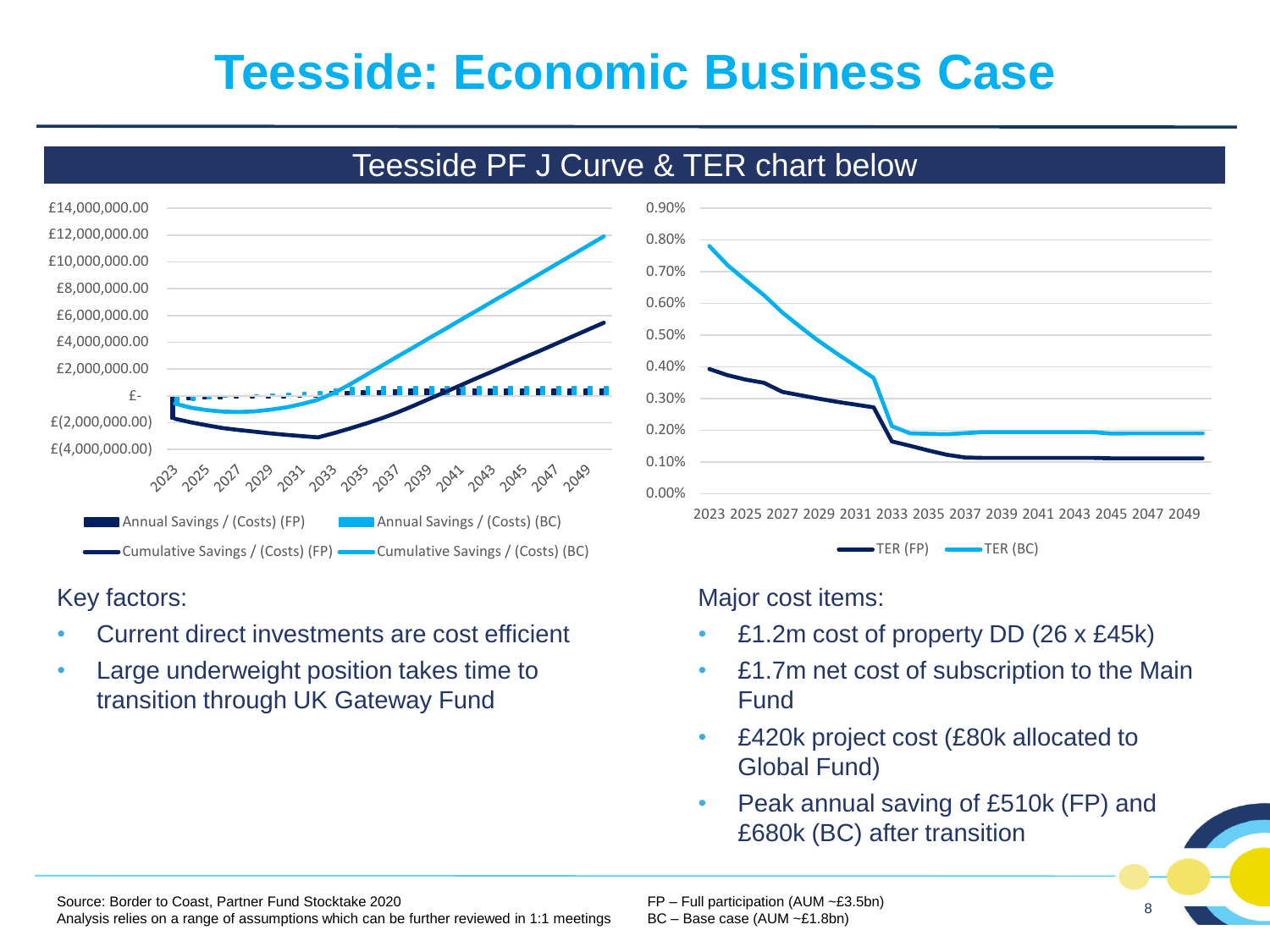### **Teesside: Economic Business Case**

![](_page_8_Figure_1.jpeg)

#### Teesside PF J Curve & TER chart below

![](_page_8_Figure_3.jpeg)

#### Key factors:

- Current direct investments are cost efficient
- Large underweight position takes time to transition through UK Gateway Fund

Major cost items:

- £1.2m cost of property DD (26 x £45k)
- £1.7m net cost of subscription to the Main Fund
- £420k project cost (£80k allocated to Global Fund)
- Peak annual saving of £510k (FP) and £680k (BC) after transition

Source: Border to Coast, Partner Fund Stocktake 2020 Analysis relies on a range of assumptions which can be further reviewed in 1:1 meetings FP – Full participation (AUM ~£3.5bn) BC – Base case (AUM ~£1.8bn)

8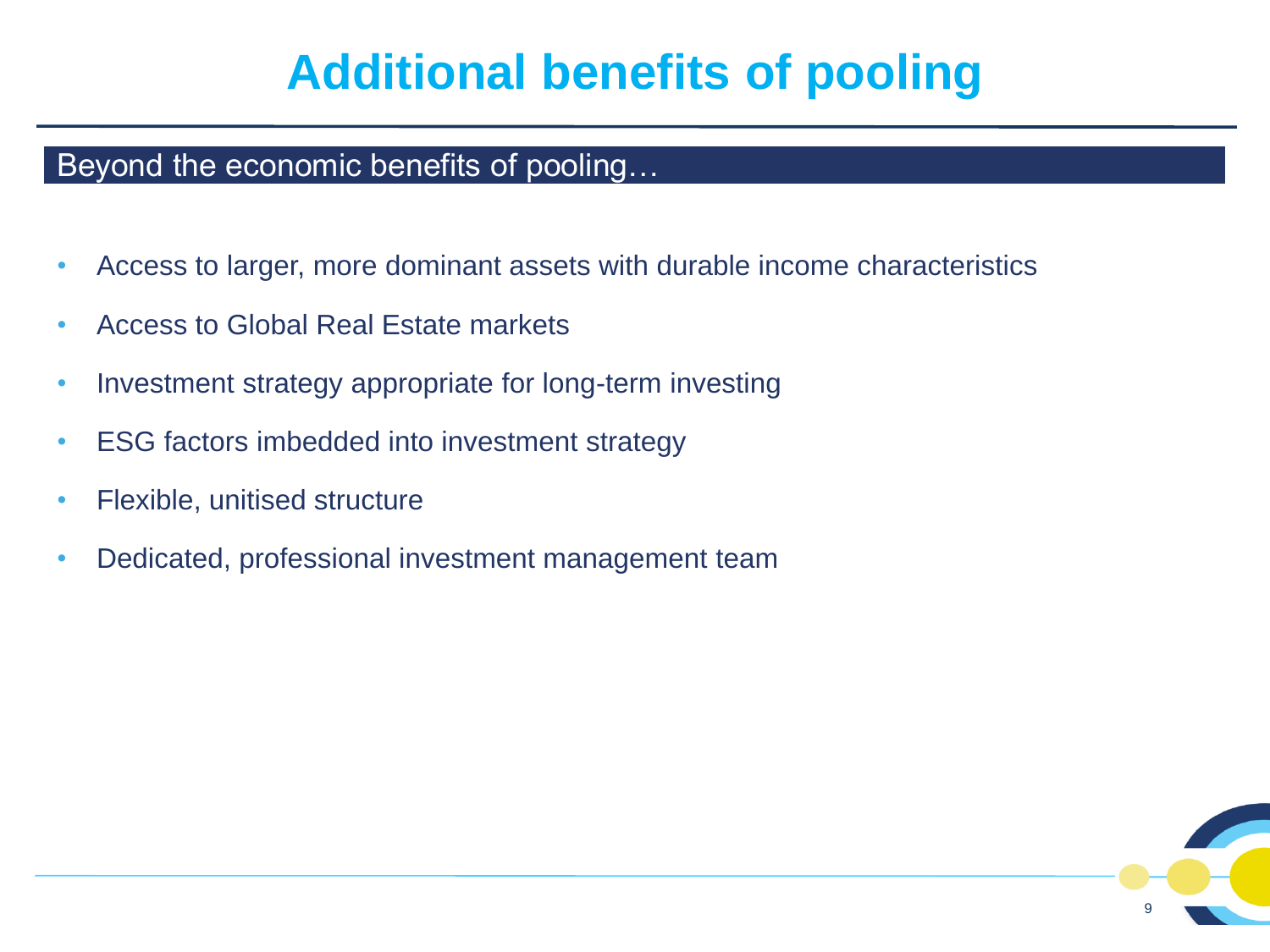# **Additional benefits of pooling**

#### Beyond the economic benefits of pooling…

- Access to larger, more dominant assets with durable income characteristics
- Access to Global Real Estate markets
- Investment strategy appropriate for long-term investing
- ESG factors imbedded into investment strategy
- Flexible, unitised structure
- Dedicated, professional investment management team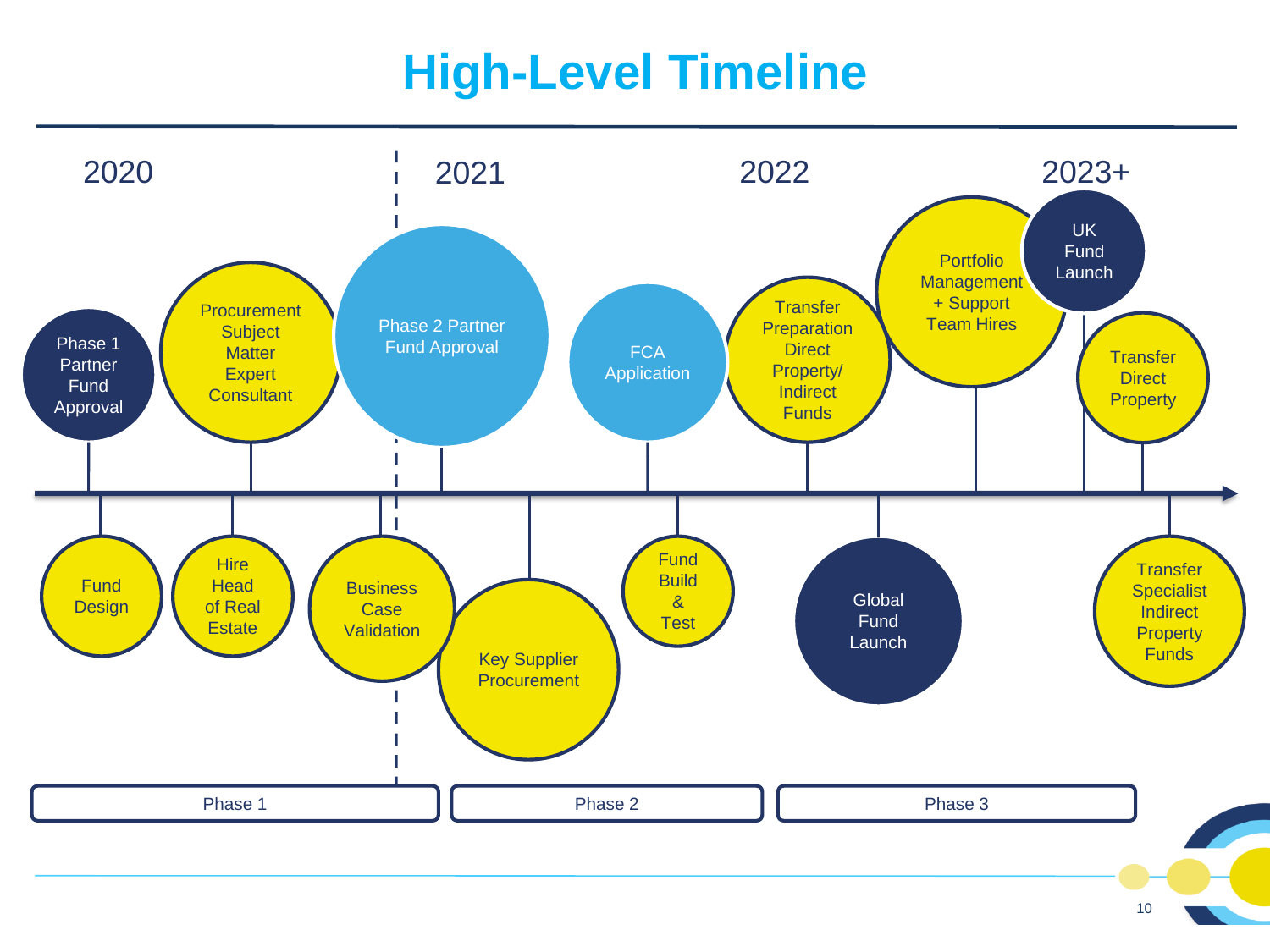# **High-Level Timeline**

![](_page_10_Figure_1.jpeg)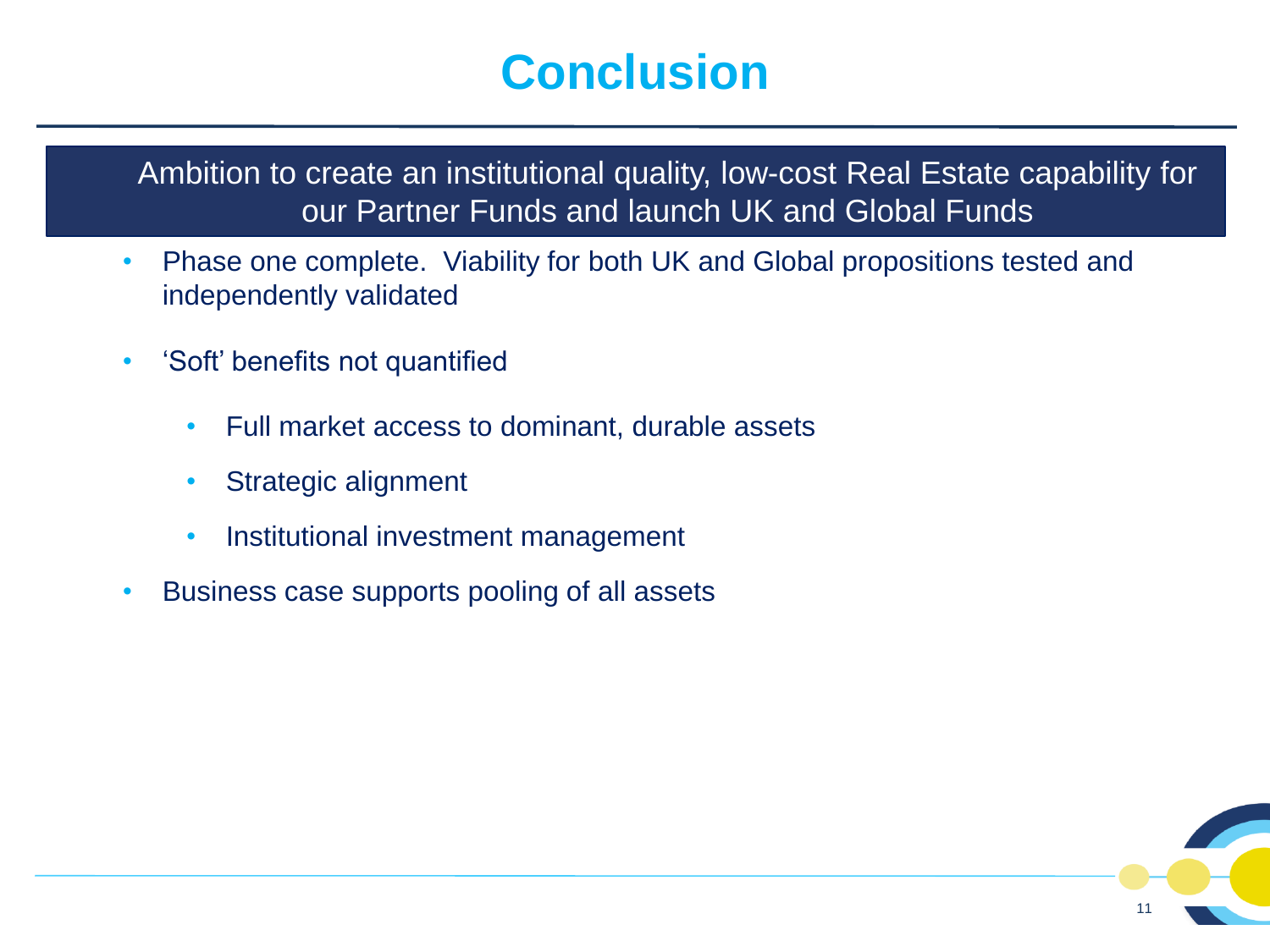# **Conclusion**

Ambition to create an institutional quality, low-cost Real Estate capability for our Partner Funds and launch UK and Global Funds

- Phase one complete. Viability for both UK and Global propositions tested and independently validated
- 'Soft' benefits not quantified
	- Full market access to dominant, durable assets
	- Strategic alignment
	- Institutional investment management
- Business case supports pooling of all assets